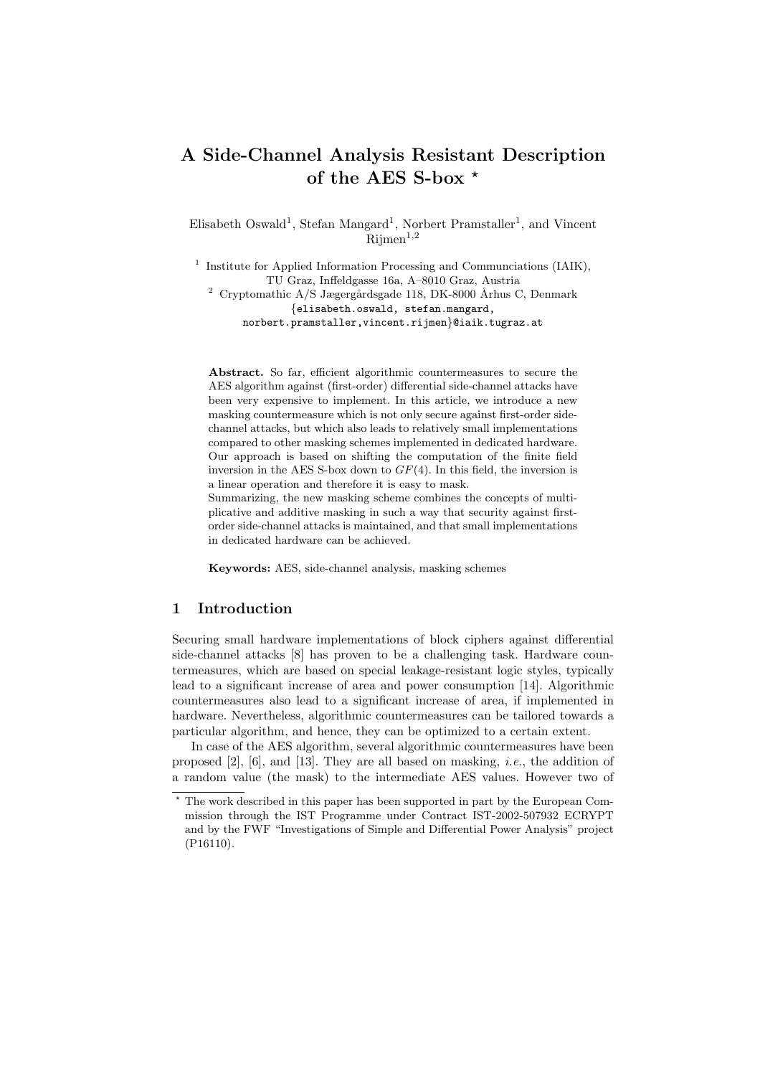# A Side-Channel Analysis Resistant Description of the AES S-box  $*$

Elisabeth Oswald<sup>1</sup>, Stefan Mangard<sup>1</sup>, Norbert Pramstaller<sup>1</sup>, and Vincent  $R$ iimen<sup>1,2</sup>

<sup>1</sup> Institute for Applied Information Processing and Communciations (IAIK), TU Graz, Inffeldgasse 16a, A–8010 Graz, Austria  $^2$  Cryptomathic A/S Jægergårdsgade 118, DK-8000 Århus C, Denmark {elisabeth.oswald, stefan.mangard, norbert.pramstaller,vincent.rijmen}@iaik.tugraz.at

Abstract. So far, efficient algorithmic countermeasures to secure the AES algorithm against (first-order) differential side-channel attacks have been very expensive to implement. In this article, we introduce a new masking countermeasure which is not only secure against first-order sidechannel attacks, but which also leads to relatively small implementations compared to other masking schemes implemented in dedicated hardware. Our approach is based on shifting the computation of the finite field inversion in the AES S-box down to  $GF(4)$ . In this field, the inversion is a linear operation and therefore it is easy to mask.

Summarizing, the new masking scheme combines the concepts of multiplicative and additive masking in such a way that security against firstorder side-channel attacks is maintained, and that small implementations in dedicated hardware can be achieved.

Keywords: AES, side-channel analysis, masking schemes

### 1 Introduction

Securing small hardware implementations of block ciphers against differential side-channel attacks [8] has proven to be a challenging task. Hardware countermeasures, which are based on special leakage-resistant logic styles, typically lead to a significant increase of area and power consumption [14]. Algorithmic countermeasures also lead to a significant increase of area, if implemented in hardware. Nevertheless, algorithmic countermeasures can be tailored towards a particular algorithm, and hence, they can be optimized to a certain extent.

In case of the AES algorithm, several algorithmic countermeasures have been proposed  $[2]$ ,  $[6]$ , and  $[13]$ . They are all based on masking, *i.e.*, the addition of a random value (the mask) to the intermediate AES values. However two of

<sup>?</sup> The work described in this paper has been supported in part by the European Commission through the IST Programme under Contract IST-2002-507932 ECRYPT and by the FWF "Investigations of Simple and Differential Power Analysis" project (P16110).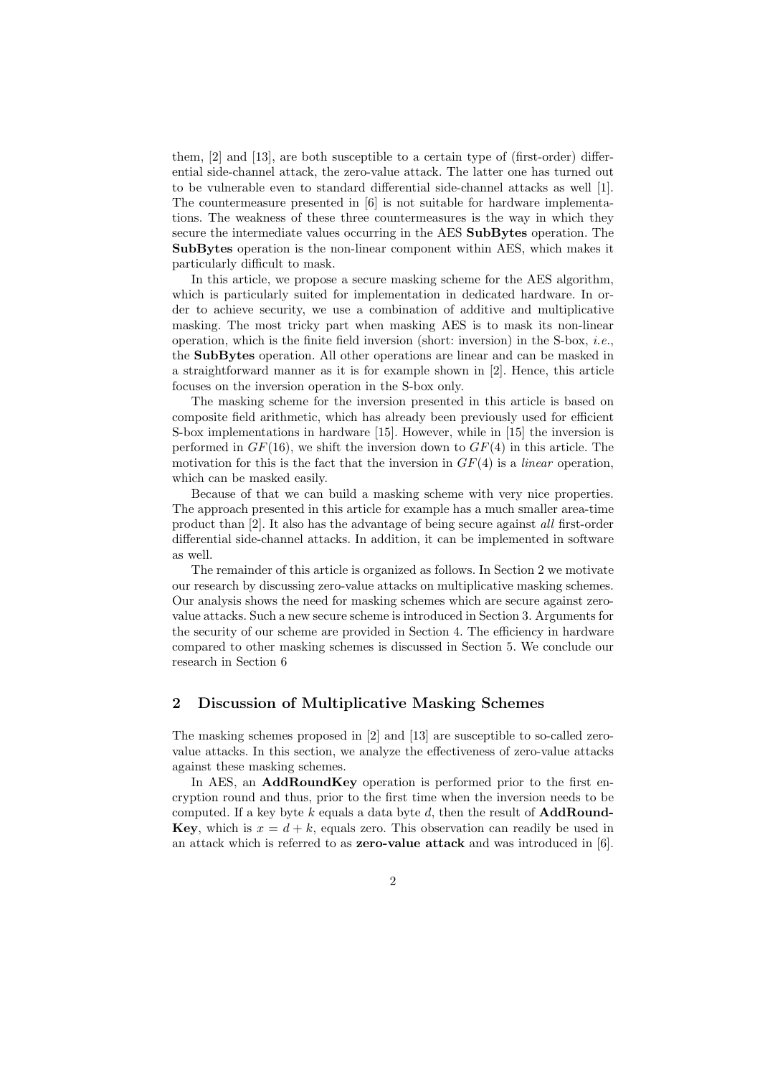them, [2] and [13], are both susceptible to a certain type of (first-order) differential side-channel attack, the zero-value attack. The latter one has turned out to be vulnerable even to standard differential side-channel attacks as well [1]. The countermeasure presented in [6] is not suitable for hardware implementations. The weakness of these three countermeasures is the way in which they secure the intermediate values occurring in the AES SubBytes operation. The SubBytes operation is the non-linear component within AES, which makes it particularly difficult to mask.

In this article, we propose a secure masking scheme for the AES algorithm, which is particularly suited for implementation in dedicated hardware. In order to achieve security, we use a combination of additive and multiplicative masking. The most tricky part when masking AES is to mask its non-linear operation, which is the finite field inversion (short: inversion) in the S-box,  $i.e.,$ the SubBytes operation. All other operations are linear and can be masked in a straightforward manner as it is for example shown in [2]. Hence, this article focuses on the inversion operation in the S-box only.

The masking scheme for the inversion presented in this article is based on composite field arithmetic, which has already been previously used for efficient S-box implementations in hardware [15]. However, while in [15] the inversion is performed in  $GF(16)$ , we shift the inversion down to  $GF(4)$  in this article. The motivation for this is the fact that the inversion in  $GF(4)$  is a *linear* operation, which can be masked easily.

Because of that we can build a masking scheme with very nice properties. The approach presented in this article for example has a much smaller area-time product than [2]. It also has the advantage of being secure against all first-order differential side-channel attacks. In addition, it can be implemented in software as well.

The remainder of this article is organized as follows. In Section 2 we motivate our research by discussing zero-value attacks on multiplicative masking schemes. Our analysis shows the need for masking schemes which are secure against zerovalue attacks. Such a new secure scheme is introduced in Section 3. Arguments for the security of our scheme are provided in Section 4. The efficiency in hardware compared to other masking schemes is discussed in Section 5. We conclude our research in Section 6

## 2 Discussion of Multiplicative Masking Schemes

The masking schemes proposed in [2] and [13] are susceptible to so-called zerovalue attacks. In this section, we analyze the effectiveness of zero-value attacks against these masking schemes.

In AES, an AddRoundKey operation is performed prior to the first encryption round and thus, prior to the first time when the inversion needs to be computed. If a key byte k equals a data byte d, then the result of  $\mathbf{AddRound}$ -**Key**, which is  $x = d + k$ , equals zero. This observation can readily be used in an attack which is referred to as **zero-value attack** and was introduced in  $[6]$ .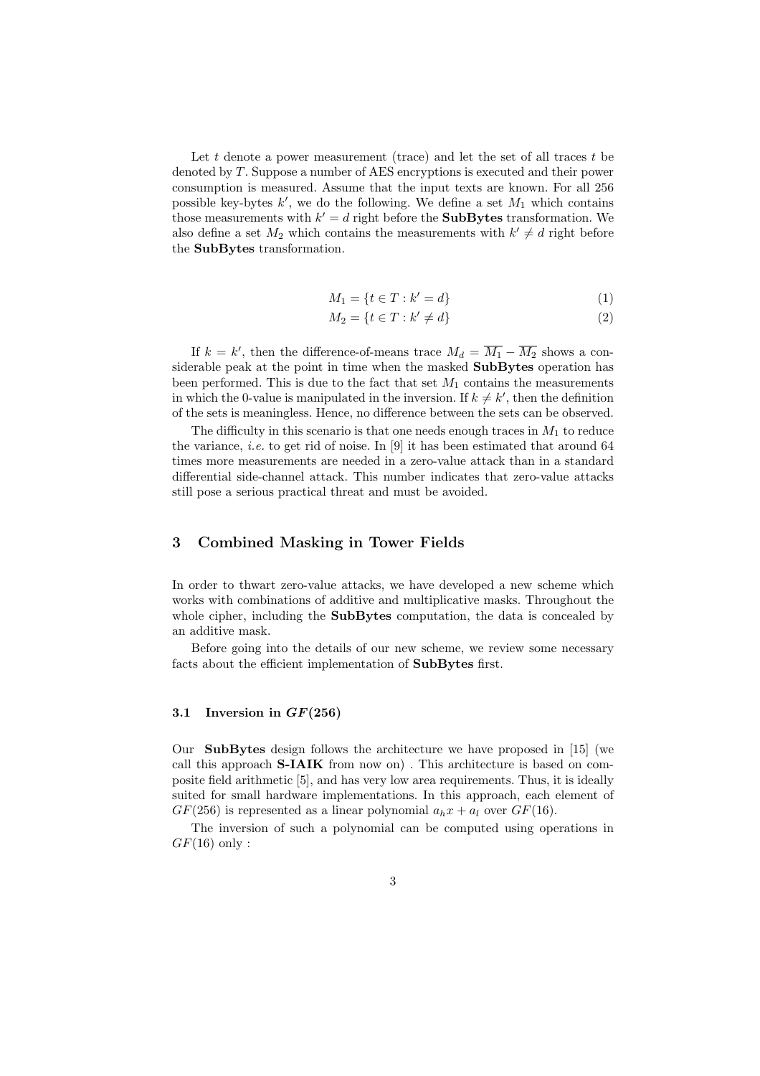Let t denote a power measurement (trace) and let the set of all traces  $t$  be denoted by T. Suppose a number of AES encryptions is executed and their power consumption is measured. Assume that the input texts are known. For all 256 possible key-bytes  $k'$ , we do the following. We define a set  $M_1$  which contains those measurements with  $k' = d$  right before the **SubBytes** transformation. We also define a set  $M_2$  which contains the measurements with  $k' \neq d$  right before the SubBytes transformation.

$$
M_1 = \{ t \in T : k' = d \}
$$
 (1)

$$
M_2 = \{ t \in T : k' \neq d \}
$$
\n
$$
(2)
$$

If  $k = k'$ , then the difference-of-means trace  $M_d = \overline{M_1} - \overline{M_2}$  shows a considerable peak at the point in time when the masked SubBytes operation has been performed. This is due to the fact that set  $M_1$  contains the measurements in which the 0-value is manipulated in the inversion. If  $k \neq k'$ , then the definition of the sets is meaningless. Hence, no difference between the sets can be observed.

The difficulty in this scenario is that one needs enough traces in  $M_1$  to reduce the variance, *i.e.* to get rid of noise. In  $[9]$  it has been estimated that around 64 times more measurements are needed in a zero-value attack than in a standard differential side-channel attack. This number indicates that zero-value attacks still pose a serious practical threat and must be avoided.

#### 3 Combined Masking in Tower Fields

In order to thwart zero-value attacks, we have developed a new scheme which works with combinations of additive and multiplicative masks. Throughout the whole cipher, including the **SubBytes** computation, the data is concealed by an additive mask.

Before going into the details of our new scheme, we review some necessary facts about the efficient implementation of SubBytes first.

## 3.1 Inversion in  $GF(256)$

Our SubBytes design follows the architecture we have proposed in [15] (we call this approach S-IAIK from now on) . This architecture is based on composite field arithmetic [5], and has very low area requirements. Thus, it is ideally suited for small hardware implementations. In this approach, each element of  $GF(256)$  is represented as a linear polynomial  $a_hx + a_l$  over  $GF(16)$ .

The inversion of such a polynomial can be computed using operations in  $GF(16)$  only: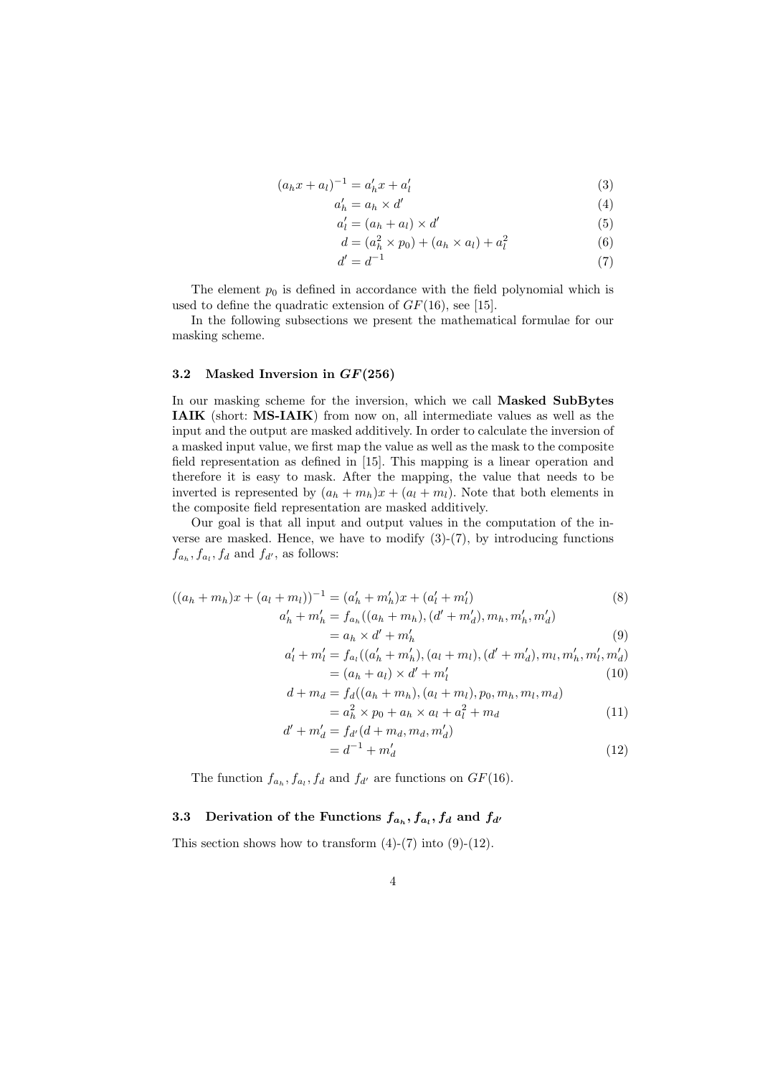$$
(a_h x + a_l)^{-1} = a'_h x + a'_l \tag{3}
$$

$$
a'_h = a_h \times d' \tag{4}
$$

$$
a_l' = (a_h + a_l) \times d' \tag{5}
$$

$$
d = (ah2 \times p0) + (ah \times al) + al2
$$
 (6)

$$
d' = d^{-1} \tag{7}
$$

The element  $p_0$  is defined in accordance with the field polynomial which is used to define the quadratic extension of  $GF(16)$ , see [15].

In the following subsections we present the mathematical formulae for our masking scheme.

## 3.2 Masked Inversion in GF(256)

In our masking scheme for the inversion, which we call Masked SubBytes IAIK (short: MS-IAIK) from now on, all intermediate values as well as the input and the output are masked additively. In order to calculate the inversion of a masked input value, we first map the value as well as the mask to the composite field representation as defined in [15]. This mapping is a linear operation and therefore it is easy to mask. After the mapping, the value that needs to be inverted is represented by  $(a_h + m_h)x + (a_l + m_l)$ . Note that both elements in the composite field representation are masked additively.

Our goal is that all input and output values in the computation of the inverse are masked. Hence, we have to modify  $(3)-(7)$ , by introducing functions  $f_{a_h}, f_{a_l}, f_d$  and  $f_{d'}$ , as follows:

$$
((a_h + m_h)x + (a_l + m_l))^{-1} = (a'_h + m'_h)x + (a'_l + m'_l)
$$
  
\n
$$
a'_h + m'_h = f_{a_h}((a_h + m_h), (d' + m'_d), m_h, m'_h, m'_d)
$$
  
\n
$$
= a_h \times d' + m'_h
$$
\n(9)

$$
a'_l + m'_l = f_{a_l}((a'_h + m'_h), (a_l + m_l), (d' + m'_d), m_l, m'_h, m'_l, m'_d)
$$
  
=  $(a_h + a_l) \times d' + m'_l$  (10)

$$
d + m_d = f_d((a_h + m_h), (a_l + m_l), p_0, m_h, m_l, m_d)
$$
  
=  $a_h^2 \times p_0 + a_h \times a_l + a_l^2 + m_d$  (11)

$$
d' + m'_d = f_{d'}(d + m_d, m_d, m'_d)
$$
  
=  $d^{-1} + m'_d$  (12)

The function  $f_{a_h}, f_{a_l}, f_d$  and  $f_{d'}$  are functions on  $GF(16)$ .

## 3.3 Derivation of the Functions  $f_{a_h}, f_{a_l}, f_d$  and  $f_{d'}$

This section shows how to transform  $(4)-(7)$  into  $(9)-(12)$ .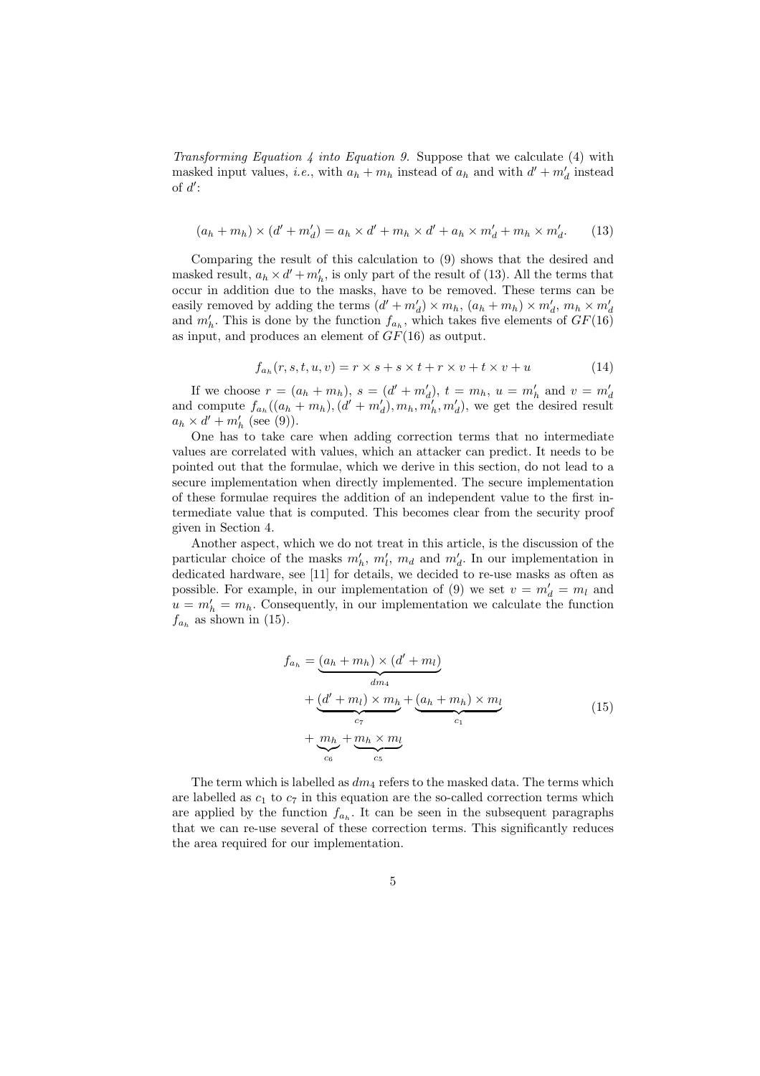Transforming Equation 4 into Equation 9. Suppose that we calculate (4) with masked input values, *i.e.*, with  $a_h + m_h$  instead of  $a_h$  and with  $d' + m'_d$  instead of  $d$ :

$$
(a_h + m_h) \times (d' + m'_d) = a_h \times d' + m_h \times d' + a_h \times m'_d + m_h \times m'_d.
$$
 (13)

Comparing the result of this calculation to (9) shows that the desired and masked result,  $a_h \times d' + m'_h$ , is only part of the result of (13). All the terms that occur in addition due to the masks, have to be removed. These terms can be easily removed by adding the terms  $(d' + m'_d) \times m_h$ ,  $(a_h + m_h) \times m'_d$ ,  $m_h \times m'_d$ and  $m'_h$ . This is done by the function  $f_{a_h}$ , which takes five elements of  $GF(16)$ as input, and produces an element of  $GF(16)$  as output.

$$
f_{a_h}(r, s, t, u, v) = r \times s + s \times t + r \times v + t \times v + u \tag{14}
$$

If we choose  $r = (a_h + m_h)$ ,  $s = (d' + m'_d)$ ,  $t = m_h$ ,  $u = m'_h$  and  $v = m'_d$ <br>and compute  $f_{a_h}((a_h + m_h), (d' + m'_d), m_h, m'_h, m'_d)$ , we get the desired result  $a_h \times d' + m'_h$  (see (9)).

One has to take care when adding correction terms that no intermediate values are correlated with values, which an attacker can predict. It needs to be pointed out that the formulae, which we derive in this section, do not lead to a secure implementation when directly implemented. The secure implementation of these formulae requires the addition of an independent value to the first intermediate value that is computed. This becomes clear from the security proof given in Section 4.

Another aspect, which we do not treat in this article, is the discussion of the particular choice of the masks  $m'_h$ ,  $m'_l$ ,  $m_d$  and  $m'_d$ . In our implementation in dedicated hardware, see [11] for details, we decided to re-use masks as often as possible. For example, in our implementation of (9) we set  $v = m'_d = m_l$  and  $u = m'_h = m_h$ . Consequently, in our implementation we calculate the function  $f_{a_h}$  as shown in (15).

$$
f_{a_h} = \underbrace{(a_h + m_h) \times (d' + m_l)}_{dm_4}
$$
  
+ 
$$
\underbrace{(d' + m_l) \times m_h}_{c_7} + \underbrace{(a_h + m_h) \times m_l}_{c_1}
$$
  
+ 
$$
\underbrace{m_h}_{c_6} + \underbrace{m_h \times m_l}_{c_5}
$$
 (15)

The term which is labelled as  $dm_4$  refers to the masked data. The terms which are labelled as  $c_1$  to  $c_7$  in this equation are the so-called correction terms which are applied by the function  $f_{a_h}$ . It can be seen in the subsequent paragraphs that we can re-use several of these correction terms. This significantly reduces the area required for our implementation.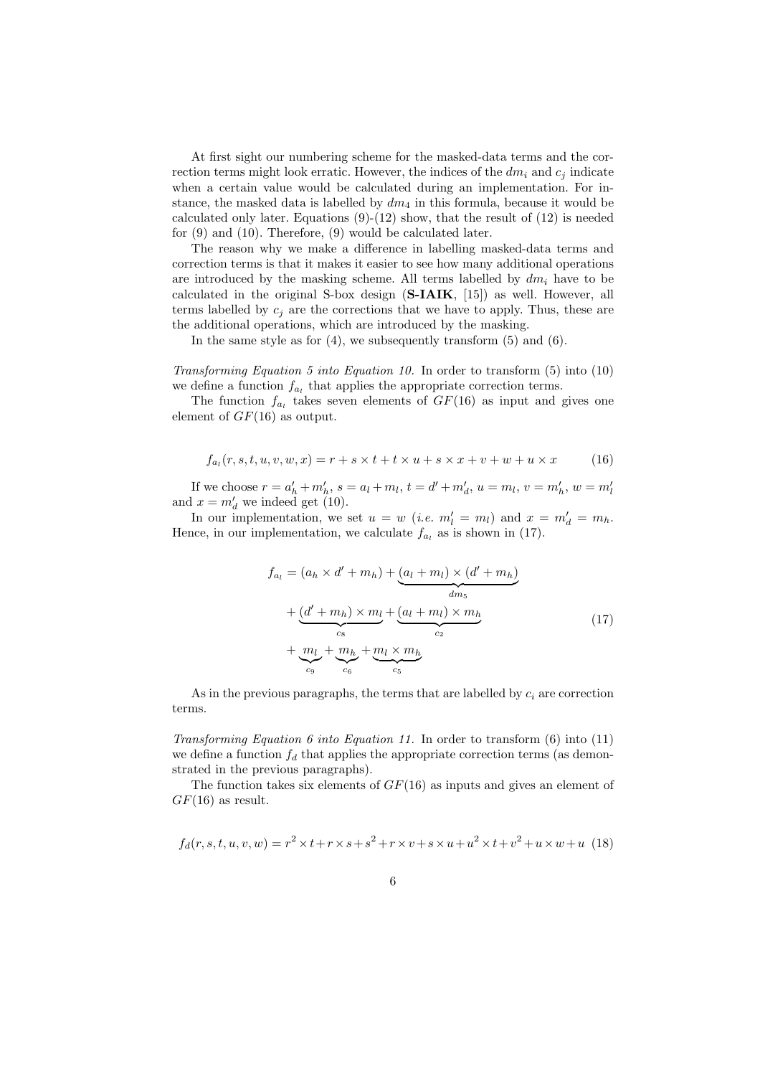At first sight our numbering scheme for the masked-data terms and the correction terms might look erratic. However, the indices of the  $dm_i$  and  $c_j$  indicate when a certain value would be calculated during an implementation. For instance, the masked data is labelled by  $dm_4$  in this formula, because it would be calculated only later. Equations  $(9)-(12)$  show, that the result of  $(12)$  is needed for (9) and (10). Therefore, (9) would be calculated later.

The reason why we make a difference in labelling masked-data terms and correction terms is that it makes it easier to see how many additional operations are introduced by the masking scheme. All terms labelled by  $dm_i$  have to be calculated in the original S-box design  $(S-IAIK, [15])$  as well. However, all terms labelled by  $c_i$  are the corrections that we have to apply. Thus, these are the additional operations, which are introduced by the masking.

In the same style as for  $(4)$ , we subsequently transform  $(5)$  and  $(6)$ .

Transforming Equation 5 into Equation 10. In order to transform (5) into (10) we define a function  $f_{a_l}$  that applies the appropriate correction terms.

The function  $f_{a_l}$  takes seven elements of  $GF(16)$  as input and gives one element of  $GF(16)$  as output.

$$
f_{a_l}(r, s, t, u, v, w, x) = r + s \times t + t \times u + s \times x + v + w + u \times x \tag{16}
$$

If we choose  $r = a'_h + m'_h$ ,  $s = a_l + m_l$ ,  $t = d' + m'_d$ ,  $u = m_l$ ,  $v = m'_h$ ,  $w = m'_l$ and  $x = m'_d$  we indeed get (10).

In our implementation, we set  $u = w$  (*i.e.*  $m'_l = m_l$ ) and  $x = m'_d = m_h$ . Hence, in our implementation, we calculate  $f_{a_l}$  as is shown in (17).

$$
f_{a_l} = (a_h \times d' + m_h) + (a_l + m_l) \times (d' + m_h)
$$
  
+ 
$$
\underbrace{(d' + m_h) \times m_l}_{c_s} + \underbrace{(a_l + m_l) \times m_h}_{c_2}
$$
  
+ 
$$
\underbrace{m_l}_{c_9} + \underbrace{m_h}_{c_6} + \underbrace{m_l \times m_h}_{c_5}
$$
 (17)

As in the previous paragraphs, the terms that are labelled by  $c_i$  are correction terms.

Transforming Equation 6 into Equation 11. In order to transform  $(6)$  into  $(11)$ we define a function  $f_d$  that applies the appropriate correction terms (as demonstrated in the previous paragraphs).

The function takes six elements of  $GF(16)$  as inputs and gives an element of  $GF(16)$  as result.

$$
f_d(r, s, t, u, v, w) = r^2 \times t + r \times s + s^2 + r \times v + s \times u + u^2 \times t + v^2 + u \times w + u
$$
 (18)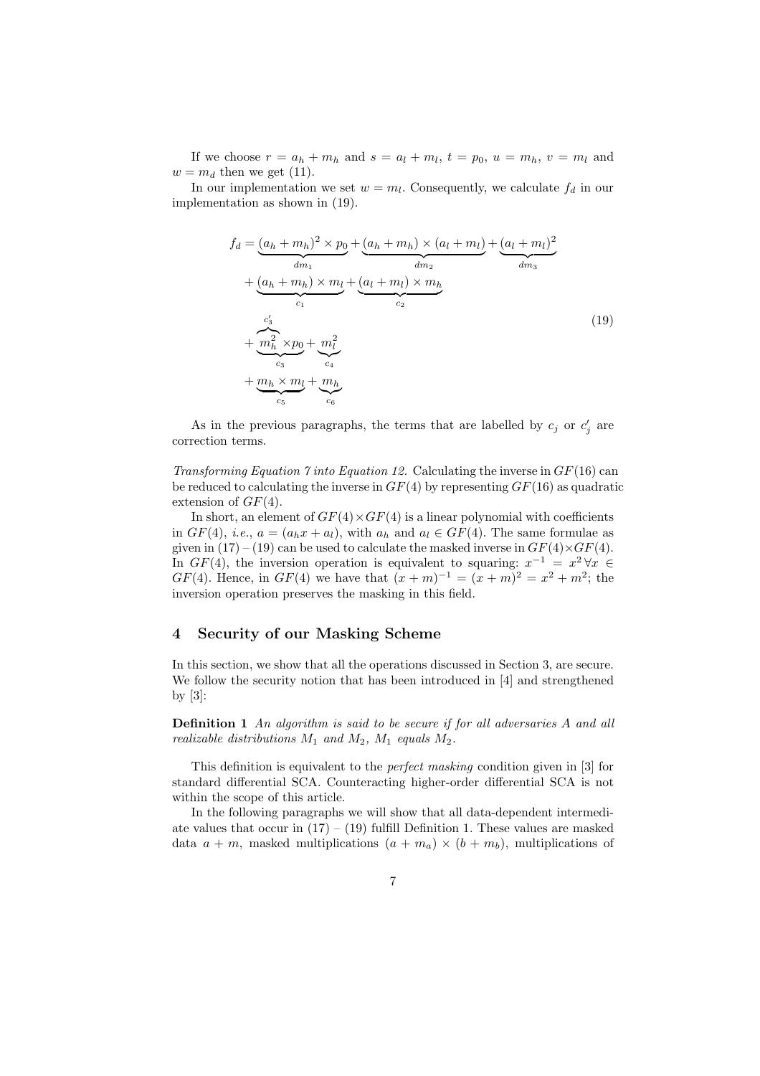If we choose  $r = a_h + m_h$  and  $s = a_l + m_l$ ,  $t = p_0$ ,  $u = m_h$ ,  $v = m_l$  and  $w = m_d$  then we get (11).

In our implementation we set  $w = m_l$ . Consequently, we calculate  $f_d$  in our implementation as shown in (19).

$$
f_d = \underbrace{(a_h + m_h)^2 \times p_0}_{dm_1} + \underbrace{(a_h + m_h) \times (a_l + m_l)}_{dm_2} + \underbrace{(a_l + m_l)^2}_{dm_3}
$$
  
+ 
$$
\underbrace{(a_h + m_h) \times m_l}_{c_1} + \underbrace{(a_l + m_l) \times m_h}_{c_2}
$$
  
+ 
$$
\underbrace{m_h^2 \times p_0}_{c_3} + \underbrace{m_l^2}_{c_4}
$$
  
+ 
$$
\underbrace{m_h \times m_l}_{c_5} + \underbrace{m_h}_{c_6}
$$
 (19)

As in the previous paragraphs, the terms that are labelled by  $c_j$  or  $c'_j$  are correction terms.

Transforming Equation 7 into Equation 12. Calculating the inverse in  $GF(16)$  can be reduced to calculating the inverse in  $GF(4)$  by representing  $GF(16)$  as quadratic extension of  $GF(4)$ .

In short, an element of  $GF(4) \times GF(4)$  is a linear polynomial with coefficients in  $GF(4)$ , *i.e.*,  $a = (a_h x + a_l)$ , with  $a_h$  and  $a_l \in GF(4)$ . The same formulae as given in  $(17) - (19)$  can be used to calculate the masked inverse in  $GF(4) \times GF(4)$ . In  $GF(4)$ , the inversion operation is equivalent to squaring:  $x^{-1} = x^2 \forall x \in$  $GF(4)$ . Hence, in  $GF(4)$  we have that  $(x+m)^{-1} = (x+m)^2 = x^2 + m^2$ ; the inversion operation preserves the masking in this field.

#### 4 Security of our Masking Scheme

In this section, we show that all the operations discussed in Section 3, are secure. We follow the security notion that has been introduced in [4] and strengthened by [3]:

Definition 1 An algorithm is said to be secure if for all adversaries A and all realizable distributions  $M_1$  and  $M_2$ ,  $M_1$  equals  $M_2$ .

This definition is equivalent to the perfect masking condition given in [3] for standard differential SCA. Counteracting higher-order differential SCA is not within the scope of this article.

In the following paragraphs we will show that all data-dependent intermediate values that occur in  $(17) - (19)$  fulfill Definition 1. These values are masked data  $a + m$ , masked multiplications  $(a + m_a) \times (b + m_b)$ , multiplications of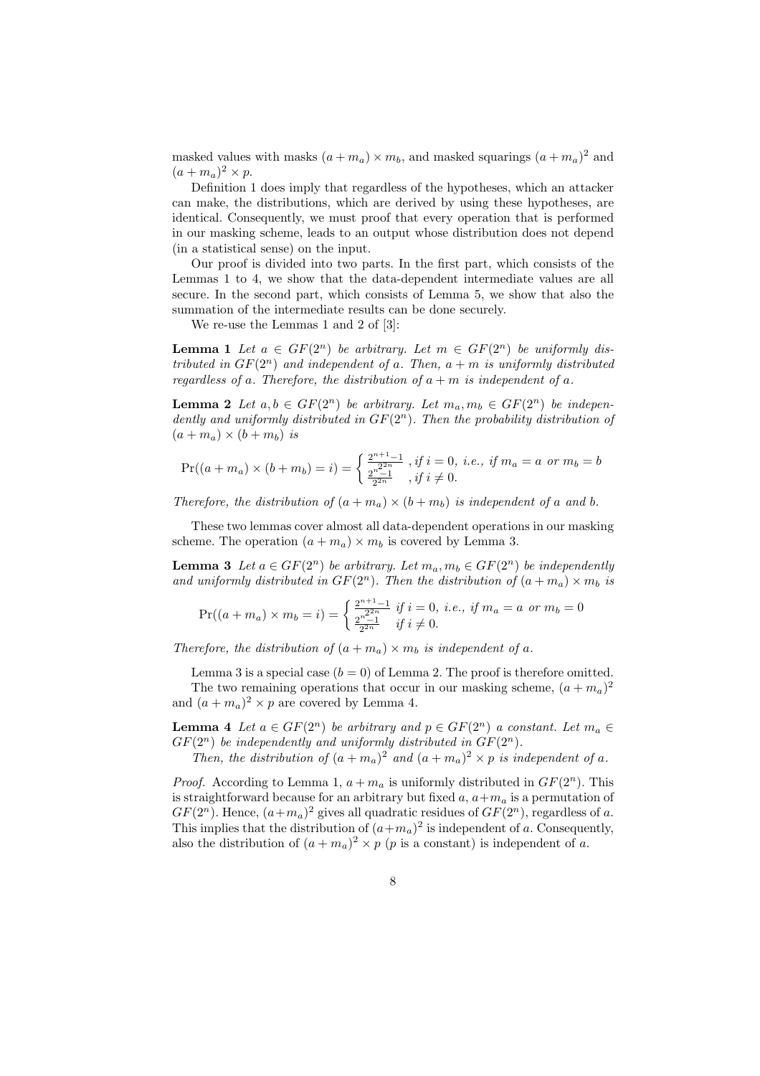masked values with masks  $(a + m_a) \times m_b$ , and masked squarings  $(a + m_a)^2$  and  $(a+m_a)^2 \times p$ .

Definition 1 does imply that regardless of the hypotheses, which an attacker can make, the distributions, which are derived by using these hypotheses, are identical. Consequently, we must proof that every operation that is performed in our masking scheme, leads to an output whose distribution does not depend (in a statistical sense) on the input.

Our proof is divided into two parts. In the first part, which consists of the Lemmas 1 to 4, we show that the data-dependent intermediate values are all secure. In the second part, which consists of Lemma 5, we show that also the summation of the intermediate results can be done securely.

We re-use the Lemmas 1 and 2 of [3]:

**Lemma 1** Let  $a \in GF(2^n)$  be arbitrary. Let  $m \in GF(2^n)$  be uniformly distributed in  $GF(2^n)$  and independent of a. Then,  $a + m$  is uniformly distributed regardless of a. Therefore, the distribution of  $a + m$  is independent of a.

**Lemma 2** Let  $a, b \in GF(2^n)$  be arbitrary. Let  $m_a, m_b \in GF(2^n)$  be independently and uniformly distributed in  $GF(2<sup>n</sup>)$ . Then the probability distribution of  $(a + m_a) \times (b + m_b)$  is

$$
\Pr((a+m_a)\times (b+m_b)=i)=\begin{cases} \frac{2^{n+1}-1}{2^{2n}}\text{ , if }i=0,\text{ i.e., if }m_a=a\text{ or }m_b=b\\ \frac{2^{n-1}-1}{2^{2n}}\text{ , if }i\neq 0.\end{cases}
$$

Therefore, the distribution of  $(a + m_a) \times (b + m_b)$  is independent of a and b.

These two lemmas cover almost all data-dependent operations in our masking scheme. The operation  $(a + m_a) \times m_b$  is covered by Lemma 3.

**Lemma 3** Let  $a \in GF(2^n)$  be arbitrary. Let  $m_a, m_b \in GF(2^n)$  be independently and uniformly distributed in  $GF(2^n)$ . Then the distribution of  $(a + m_a) \times m_b$  is

$$
\Pr((a+m_a)\times m_b=i) = \begin{cases} \frac{2^{n+1}-1}{2^{2n}} \text{ if } i=0, \text{ i.e., if } m_a=a \text{ or } m_b=0\\ \frac{2^{n-1}}{2^{2n}} \text{ if } i \neq 0. \end{cases}
$$

Therefore, the distribution of  $(a + m_a) \times m_b$  is independent of a.

Lemma 3 is a special case  $(b = 0)$  of Lemma 2. The proof is therefore omitted. The two remaining operations that occur in our masking scheme,  $(a+m_a)^2$ and  $(a + m_a)^2 \times p$  are covered by Lemma 4.

**Lemma 4** Let  $a \in GF(2^n)$  be arbitrary and  $p \in GF(2^n)$  a constant. Let  $m_a \in$  $GF(2^n)$  be independently and uniformly distributed in  $GF(2^n)$ .

Then, the distribution of  $(a+m_a)^2$  and  $(a+m_a)^2 \times p$  is independent of a.

*Proof.* According to Lemma 1,  $a + m_a$  is uniformly distributed in  $GF(2<sup>n</sup>)$ . This is straightforward because for an arbitrary but fixed  $a, a+m_a$  is a permutation of  $GF(2^n)$ . Hence,  $(a+m_a)^2$  gives all quadratic residues of  $GF(2^n)$ , regardless of a. This implies that the distribution of  $(a+m_a)^2$  is independent of a. Consequently, also the distribution of  $(a + m_a)^2 \times p$  (*p* is a constant) is independent of *a*.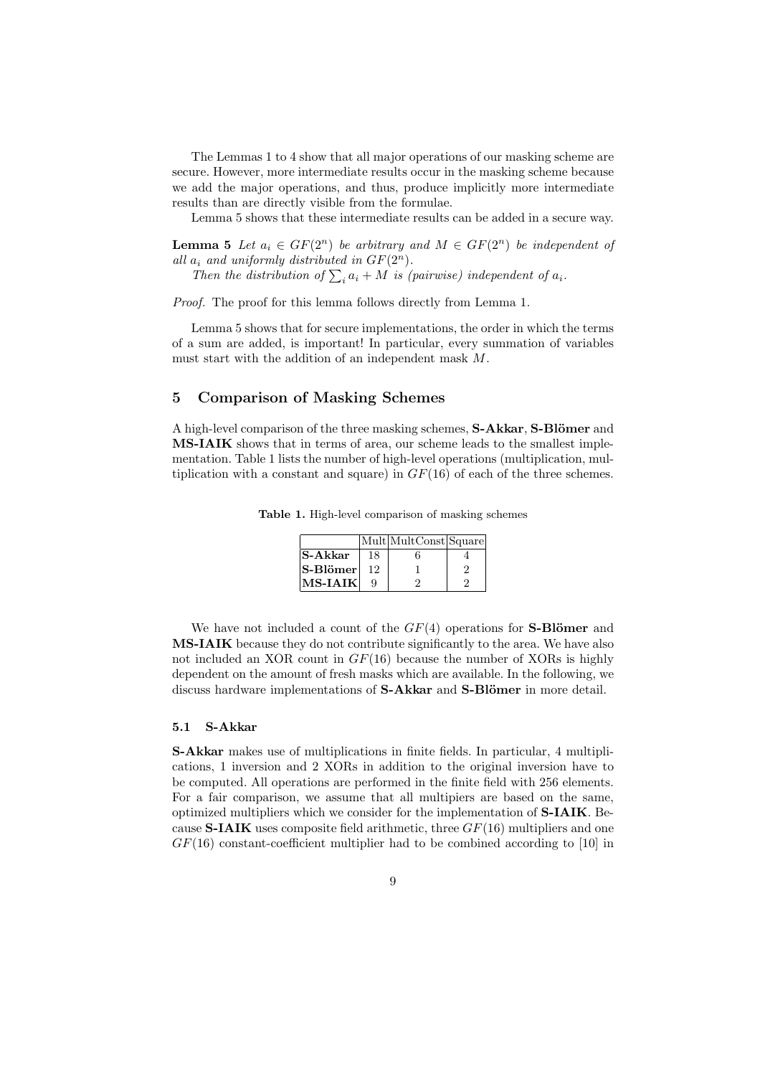The Lemmas 1 to 4 show that all major operations of our masking scheme are secure. However, more intermediate results occur in the masking scheme because we add the major operations, and thus, produce implicitly more intermediate results than are directly visible from the formulae.

Lemma 5 shows that these intermediate results can be added in a secure way.

**Lemma 5** Let  $a_i \in GF(2^n)$  be arbitrary and  $M \in GF(2^n)$  be independent of all  $a_i$  and uniformly distributed in  $GF(2^n)$ .

 $a_i$  and uniformly assiributed in  $GF(2^{\degree})$ .<br>Then the distribution of  $\sum_i a_i + M$  is (pairwise) independent of  $a_i$ .

Proof. The proof for this lemma follows directly from Lemma 1.

Lemma 5 shows that for secure implementations, the order in which the terms of a sum are added, is important! In particular, every summation of variables must start with the addition of an independent mask M.

## 5 Comparison of Masking Schemes

A high-level comparison of the three masking schemes, S-Akkar, S-Blömer and MS-IAIK shows that in terms of area, our scheme leads to the smallest implementation. Table 1 lists the number of high-level operations (multiplication, multiplication with a constant and square) in  $GF(16)$  of each of the three schemes.

Table 1. High-level comparison of masking schemes

|                |    | Mult MultConst Square |   |
|----------------|----|-----------------------|---|
| <b>S-Akkar</b> | 18 |                       |   |
| $ S-B $ ömer   | 12 |                       | 9 |
| $MS-IAIK$      |    |                       |   |

We have not included a count of the  $GF(4)$  operations for **S-Blömer** and MS-IAIK because they do not contribute significantly to the area. We have also not included an XOR count in  $GF(16)$  because the number of XORs is highly dependent on the amount of fresh masks which are available. In the following, we discuss hardware implementations of S-Akkar and S-Blömer in more detail.

#### 5.1 S-Akkar

S-Akkar makes use of multiplications in finite fields. In particular, 4 multiplications, 1 inversion and 2 XORs in addition to the original inversion have to be computed. All operations are performed in the finite field with 256 elements. For a fair comparison, we assume that all multipiers are based on the same, optimized multipliers which we consider for the implementation of S-IAIK. Because **S-IAIK** uses composite field arithmetic, three  $GF(16)$  multipliers and one  $GF(16)$  constant-coefficient multiplier had to be combined according to [10] in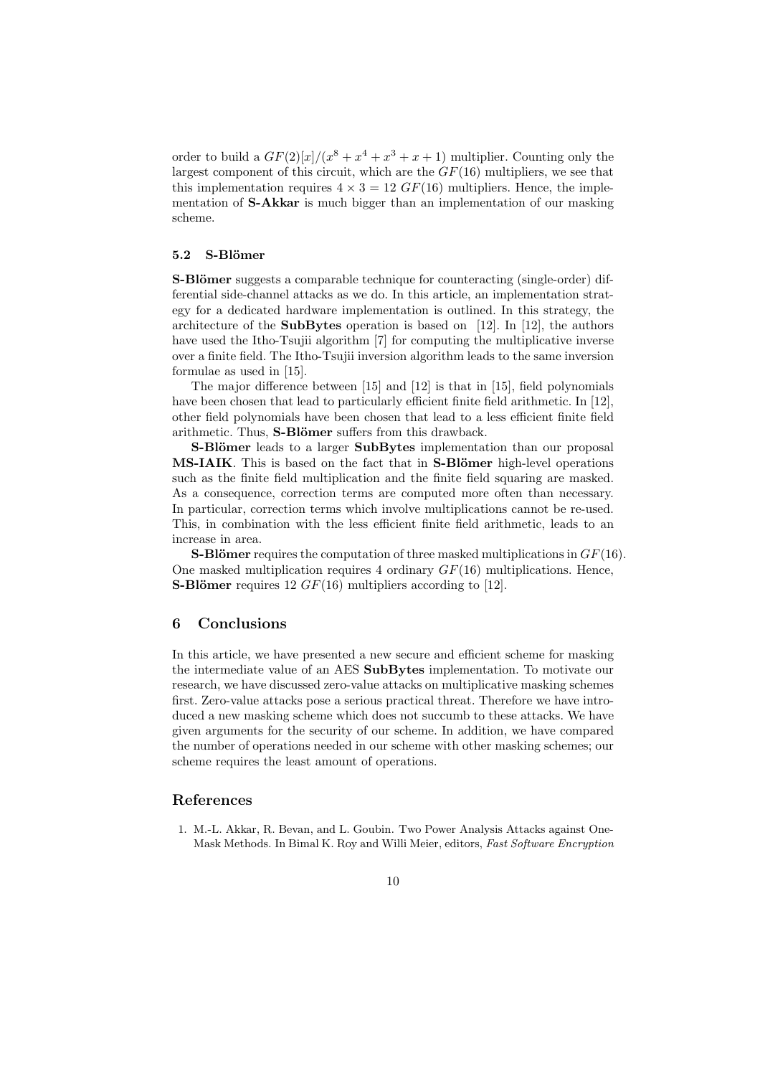order to build a  $GF(2)[x]/(x^8 + x^4 + x^3 + x + 1)$  multiplier. Counting only the largest component of this circuit, which are the  $GF(16)$  multipliers, we see that this implementation requires  $4 \times 3 = 12 \text{ } GF(16)$  multipliers. Hence, the implementation of S-Akkar is much bigger than an implementation of our masking scheme.

## 5.2 S-Blömer

**S-Blömer** suggests a comparable technique for counteracting (single-order) differential side-channel attacks as we do. In this article, an implementation strategy for a dedicated hardware implementation is outlined. In this strategy, the architecture of the **SubBytes** operation is based on [12]. In [12], the authors have used the Itho-Tsujii algorithm [7] for computing the multiplicative inverse over a finite field. The Itho-Tsujii inversion algorithm leads to the same inversion formulae as used in [15].

The major difference between [15] and [12] is that in [15], field polynomials have been chosen that lead to particularly efficient finite field arithmetic. In [12], other field polynomials have been chosen that lead to a less efficient finite field arithmetic. Thus, **S-Blömer** suffers from this drawback.

**S-Blömer** leads to a larger **SubBytes** implementation than our proposal MS-IAIK. This is based on the fact that in S-Blömer high-level operations such as the finite field multiplication and the finite field squaring are masked. As a consequence, correction terms are computed more often than necessary. In particular, correction terms which involve multiplications cannot be re-used. This, in combination with the less efficient finite field arithmetic, leads to an increase in area.

**S-Blömer** requires the computation of three masked multiplications in  $GF(16)$ . One masked multiplication requires 4 ordinary  $GF(16)$  multiplications. Hence, **S-Blömer** requires 12  $GF(16)$  multipliers according to [12].

## 6 Conclusions

In this article, we have presented a new secure and efficient scheme for masking the intermediate value of an AES SubBytes implementation. To motivate our research, we have discussed zero-value attacks on multiplicative masking schemes first. Zero-value attacks pose a serious practical threat. Therefore we have introduced a new masking scheme which does not succumb to these attacks. We have given arguments for the security of our scheme. In addition, we have compared the number of operations needed in our scheme with other masking schemes; our scheme requires the least amount of operations.

#### References

1. M.-L. Akkar, R. Bevan, and L. Goubin. Two Power Analysis Attacks against One-Mask Methods. In Bimal K. Roy and Willi Meier, editors, Fast Software Encryption